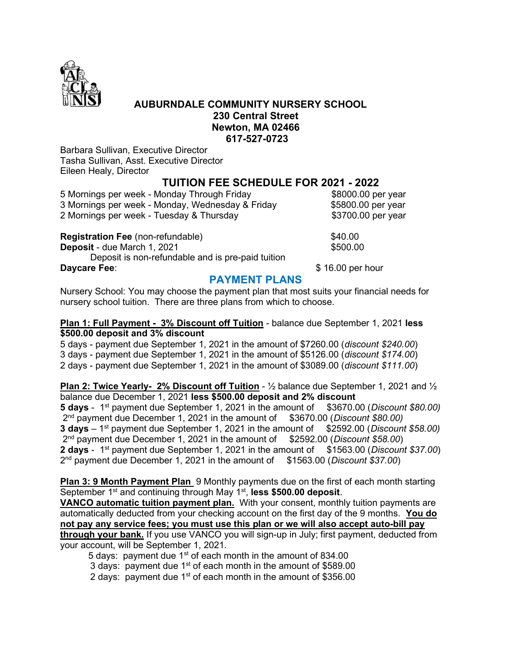

### AUBURNDALE COMMUNITY NURSERY SCHOOL 230 Central Street Newton, MA 02466 617-527-0723

Barbara Sullivan, Executive Director Tasha Sullivan, Asst. Executive Director Eileen Healy, Director

### TUITION FEE SCHEDULE FOR 2021 - 2022

5 Mornings per week - Monday Through Friday **\$8000.00 per year** 3 Mornings per week - Monday, Wednesday & Friday \$5800.00 per year 2 Mornings per week - Tuesday & Thursday  $\sim$  \$3700.00 per year

Registration Fee (non-refundable)  $$40.00$ **Deposit** - due March 1, 2021 **\$500.00** \$500.00 Deposit is non-refundable and is pre-paid tuition Daycare Fee:  $\frac{1}{2}$  Daycare Fee:

## PAYMENT PLANS

Nursery School: You may choose the payment plan that most suits your financial needs for nursery school tuition. There are three plans from which to choose.

#### Plan 1: Full Payment - 3% Discount off Tuition - balance due September 1, 2021 less \$500.00 deposit and 3% discount

5 days - payment due September 1, 2021 in the amount of \$7260.00 (discount \$240.00) 3 days - payment due September 1, 2021 in the amount of \$5126.00 (discount \$174.00) 2 days - payment due September 1, 2021 in the amount of \$3089.00 (discount \$111.00)

**Plan 2: Twice Yearly- 2% Discount off Tuition -**  $\frac{1}{2}$  balance due September 1, 2021 and  $\frac{1}{2}$ balance due December 1, 2021 less \$500.00 deposit and 2% discount

5 days - 1<sup>st</sup> payment due September 1, 2021 in the amount of \$3670.00 (Discount \$80.00) 2<sup>nd</sup> payment due December 1, 2021 in the amount of \$3670.00 (Discount \$80.00) 3 days  $-1^{st}$  payment due September 1, 2021 in the amount of  $$2592.00$  (Discount \$58.00)  $2<sup>nd</sup>$  payment due December 1, 2021 in the amount of  $$2592.00$  (Discount \$58.00) **2 days** - 1<sup>st</sup> payment due September 1, 2021 in the amount of  $$1563.00$  (*Discount* \$37.00) 2<sup>nd</sup> payment due December 1, 2021 in the amount of \$1563.00 (Discount \$37.00)

**Plan 3: 9 Month Payment Plan** 9 Monthly payments due on the first of each month starting September 1<sup>st</sup> and continuing through May 1<sup>st</sup>, less \$500.00 deposit.

VANCO automatic tuition payment plan. With your consent, monthly tuition payments are automatically deducted from your checking account on the first day of the 9 months. You do not pay any service fees; you must use this plan or we will also accept auto-bill pay through your bank. If you use VANCO you will sign-up in July; first payment, deducted from

your account, will be September 1, 2021.

5 days: payment due  $1<sup>st</sup>$  of each month in the amount of 834.00

3 days: payment due  $1^{st}$  of each month in the amount of \$589.00

2 days: payment due 1<sup>st</sup> of each month in the amount of \$356.00